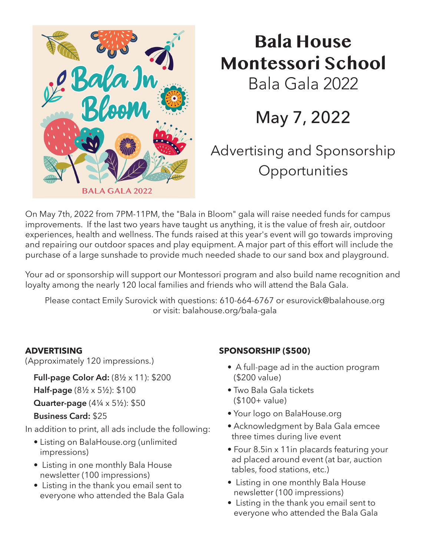

## **Bala House Montessori School** Bala Gala 2022

May 7, 2022

## Advertising and Sponsorship **Opportunities**

On May 7th, 2022 from 7PM-11PM, the "Bala in Bloom" gala will raise needed funds for campus improvements. If the last two years have taught us anything, it is the value of fresh air, outdoor experiences, health and wellness. The funds raised at this year's event will go towards improving and repairing our outdoor spaces and play equipment. A major part of this effort will include the purchase of a large sunshade to provide much needed shade to our sand box and playground.

Your ad or sponsorship will support our Montessori program and also build name recognition and loyalty among the nearly 120 local families and friends who will attend the Bala Gala.

Please contact Emily Surovick with questions: 610-664-6767 or esurovick@balahouse.org or visit: balahouse.org/bala-gala

## **ADVERTISING**

(Approximately 120 impressions.)

**Full-page Color Ad:**  $(8\frac{1}{2} \times 11)$ : \$200

**Half-page** (8<sup>1</sup>/<sub>2</sub> x 5<sup>1</sup>/<sub>2</sub>): \$100

**Quarter-page** (41/4 x 51/2): \$50

**Business Card:** \$25

In addition to print, all ads include the following:

- Listing on BalaHouse.org (unlimited impressions)
- Listing in one monthly Bala House newsletter (100 impressions)
- Listing in the thank you email sent to everyone who attended the Bala Gala

## **SPONSORSHIP (\$500)**

- A full-page ad in the auction program (\$200 value)
- Two Bala Gala tickets (\$100+ value)
- Your logo on BalaHouse.org
- Acknowledgment by Bala Gala emcee three times during live event
- Four 8.5in x 11in placards featuring your ad placed around event (at bar, auction tables, food stations, etc.)
- Listing in one monthly Bala House newsletter (100 impressions)
- Listing in the thank you email sent to everyone who attended the Bala Gala